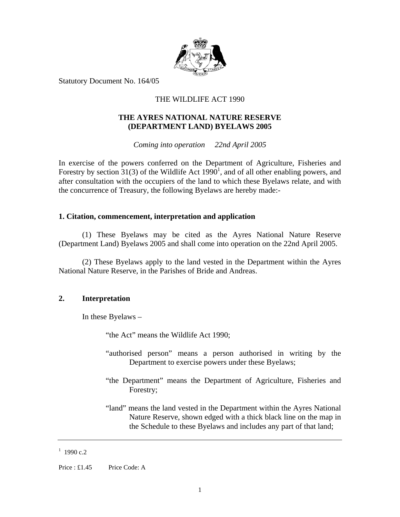

Statutory Document No. 164/05

# THE WILDLIFE ACT 1990

# **THE AYRES NATIONAL NATURE RESERVE (DEPARTMENT LAND) BYELAWS 2005**

*Coming into operation 22nd April 2005* 

In exercise of the powers conferred on the Department of Agriculture, Fisheries and Forestry by section  $31(3)$  of the Wildlife Act  $1990<sup>1</sup>$ , and of all other enabling powers, and after consultation with the occupiers of the land to which these Byelaws relate, and with the concurrence of Treasury, the following Byelaws are hereby made:-

#### **1. Citation, commencement, interpretation and application**

(1) These Byelaws may be cited as the Ayres National Nature Reserve (Department Land) Byelaws 2005 and shall come into operation on the 22nd April 2005.

(2) These Byelaws apply to the land vested in the Department within the Ayres National Nature Reserve, in the Parishes of Bride and Andreas.

## **2. Interpretation**

In these Byelaws –

"the Act" means the Wildlife Act 1990;

- "authorised person" means a person authorised in writing by the Department to exercise powers under these Byelaws;
- "the Department" means the Department of Agriculture, Fisheries and Forestry;
- "land" means the land vested in the Department within the Ayres National Nature Reserve, shown edged with a thick black line on the map in the Schedule to these Byelaws and includes any part of that land;

#### $1$  1990 c.2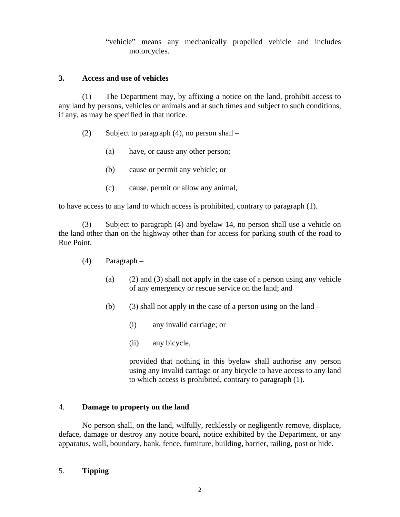"vehicle" means any mechanically propelled vehicle and includes motorcycles.

## **3. Access and use of vehicles**

(1) The Department may, by affixing a notice on the land, prohibit access to any land by persons, vehicles or animals and at such times and subject to such conditions, if any, as may be specified in that notice.

- (2) Subject to paragraph (4), no person shall  $-$ 
	- (a) have, or cause any other person;
	- (b) cause or permit any vehicle; or
	- (c) cause, permit or allow any animal,

to have access to any land to which access is prohibited, contrary to paragraph (1).

(3) Subject to paragraph (4) and byelaw 14, no person shall use a vehicle on the land other than on the highway other than for access for parking south of the road to Rue Point.

- (4) Paragraph
	- (a) (2) and (3) shall not apply in the case of a person using any vehicle of any emergency or rescue service on the land; and
	- (b) (3) shall not apply in the case of a person using on the land  $-$ 
		- (i) any invalid carriage; or
		- (ii) any bicycle,

provided that nothing in this byelaw shall authorise any person using any invalid carriage or any bicycle to have access to any land to which access is prohibited, contrary to paragraph (1).

# 4. **Damage to property on the land**

No person shall, on the land, wilfully, recklessly or negligently remove, displace, deface, damage or destroy any notice board, notice exhibited by the Department, or any apparatus, wall, boundary, bank, fence, furniture, building, barrier, railing, post or hide.

# 5. **Tipping**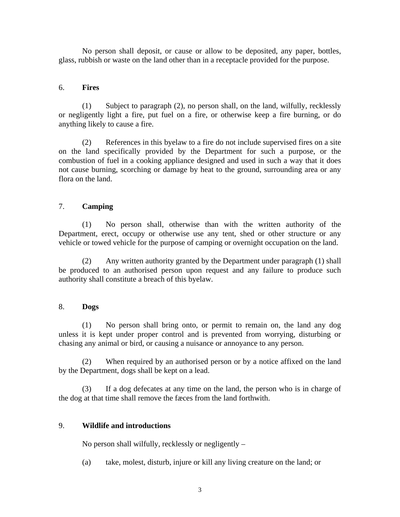No person shall deposit, or cause or allow to be deposited, any paper, bottles, glass, rubbish or waste on the land other than in a receptacle provided for the purpose.

## 6. **Fires**

(1) Subject to paragraph (2), no person shall, on the land, wilfully, recklessly or negligently light a fire, put fuel on a fire, or otherwise keep a fire burning, or do anything likely to cause a fire.

(2) References in this byelaw to a fire do not include supervised fires on a site on the land specifically provided by the Department for such a purpose, or the combustion of fuel in a cooking appliance designed and used in such a way that it does not cause burning, scorching or damage by heat to the ground, surrounding area or any flora on the land.

## 7. **Camping**

(1) No person shall, otherwise than with the written authority of the Department, erect, occupy or otherwise use any tent, shed or other structure or any vehicle or towed vehicle for the purpose of camping or overnight occupation on the land.

(2) Any written authority granted by the Department under paragraph (1) shall be produced to an authorised person upon request and any failure to produce such authority shall constitute a breach of this byelaw.

## 8. **Dogs**

(1) No person shall bring onto, or permit to remain on, the land any dog unless it is kept under proper control and is prevented from worrying, disturbing or chasing any animal or bird, or causing a nuisance or annoyance to any person.

(2) When required by an authorised person or by a notice affixed on the land by the Department, dogs shall be kept on a lead.

(3) If a dog defecates at any time on the land, the person who is in charge of the dog at that time shall remove the fæces from the land forthwith.

## 9. **Wildlife and introductions**

No person shall wilfully, recklessly or negligently –

(a) take, molest, disturb, injure or kill any living creature on the land; or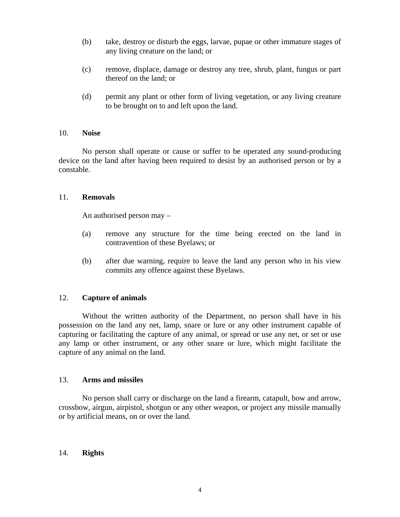- (b) take, destroy or disturb the eggs, larvae, pupae or other immature stages of any living creature on the land; or
- (c) remove, displace, damage or destroy any tree, shrub, plant, fungus or part thereof on the land; or
- (d) permit any plant or other form of living vegetation, or any living creature to be brought on to and left upon the land.

#### 10. **Noise**

No person shall operate or cause or suffer to be operated any sound-producing device on the land after having been required to desist by an authorised person or by a constable.

#### 11. **Removals**

An authorised person may –

- (a) remove any structure for the time being erected on the land in contravention of these Byelaws; or
- (b) after due warning, require to leave the land any person who in his view commits any offence against these Byelaws.

## 12. **Capture of animals**

Without the written authority of the Department, no person shall have in his possession on the land any net, lamp, snare or lure or any other instrument capable of capturing or facilitating the capture of any animal, or spread or use any net, or set or use any lamp or other instrument, or any other snare or lure, which might facilitate the capture of any animal on the land.

#### 13. **Arms and missiles**

No person shall carry or discharge on the land a firearm, catapult, bow and arrow, crossbow, airgun, airpistol, shotgun or any other weapon, or project any missile manually or by artificial means, on or over the land.

## 14. **Rights**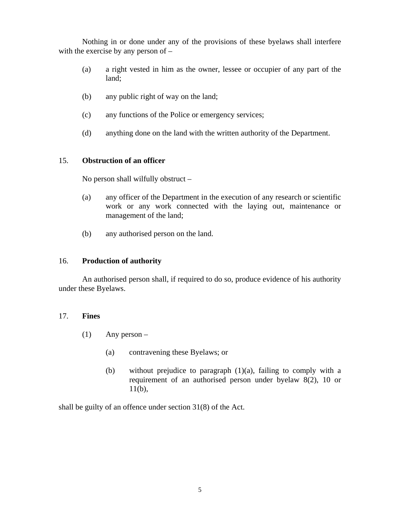Nothing in or done under any of the provisions of these byelaws shall interfere with the exercise by any person of –

- (a) a right vested in him as the owner, lessee or occupier of any part of the land;
- (b) any public right of way on the land;
- (c) any functions of the Police or emergency services;
- (d) anything done on the land with the written authority of the Department.

## 15. **Obstruction of an officer**

No person shall wilfully obstruct –

- (a) any officer of the Department in the execution of any research or scientific work or any work connected with the laying out, maintenance or management of the land;
- (b) any authorised person on the land.

## 16. **Production of authority**

An authorised person shall, if required to do so, produce evidence of his authority under these Byelaws.

## 17. **Fines**

- (1) Any person
	- (a) contravening these Byelaws; or
	- (b) without prejudice to paragraph (1)(a), failing to comply with a requirement of an authorised person under byelaw 8(2), 10 or  $11(b)$ ,

shall be guilty of an offence under section 31(8) of the Act.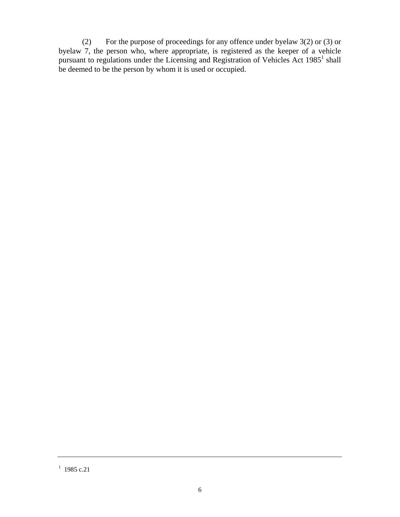(2) For the purpose of proceedings for any offence under byelaw 3(2) or (3) or byelaw 7, the person who, where appropriate, is registered as the keeper of a vehicle pursuant to regulations under the Licensing and Registration of Vehicles Act  $1985<sup>1</sup>$  shall be deemed to be the person by whom it is used or occupied.

 $1$  1985 c.21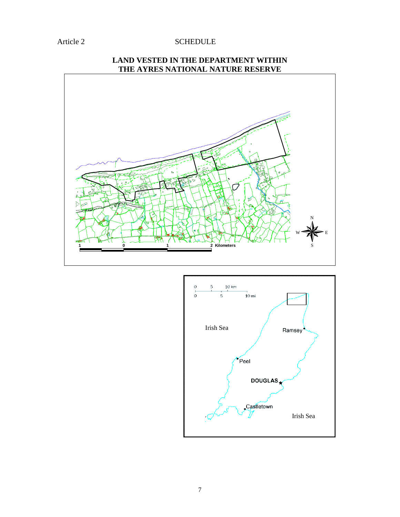## Article 2 SCHEDULE

# **101 2 Kilometers** N  $W \blacktriangleright E$ S



# **LAND VESTED IN THE DEPARTMENT WITHIN THE AYRES NATIONAL NATURE RESERVE**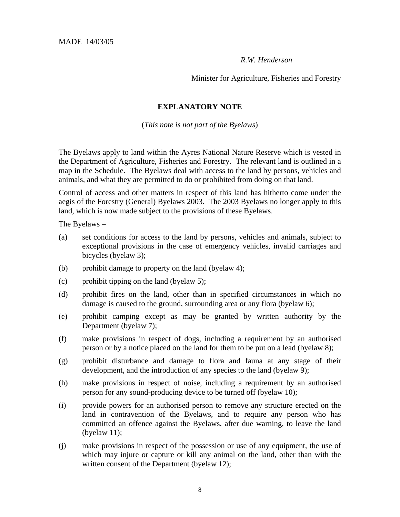*R.W. Henderson* 

Minister for Agriculture, Fisheries and Forestry

## **EXPLANATORY NOTE**

(*This note is not part of the Byelaws*)

The Byelaws apply to land within the Ayres National Nature Reserve which is vested in the Department of Agriculture, Fisheries and Forestry. The relevant land is outlined in a map in the Schedule. The Byelaws deal with access to the land by persons, vehicles and animals, and what they are permitted to do or prohibited from doing on that land.

Control of access and other matters in respect of this land has hitherto come under the aegis of the Forestry (General) Byelaws 2003. The 2003 Byelaws no longer apply to this land, which is now made subject to the provisions of these Byelaws.

The Byelaws –

- (a) set conditions for access to the land by persons, vehicles and animals, subject to exceptional provisions in the case of emergency vehicles, invalid carriages and bicycles (byelaw 3);
- (b) prohibit damage to property on the land (byelaw 4);
- (c) prohibit tipping on the land (byelaw 5);
- (d) prohibit fires on the land, other than in specified circumstances in which no damage is caused to the ground, surrounding area or any flora (byelaw 6);
- (e) prohibit camping except as may be granted by written authority by the Department (byelaw 7);
- (f) make provisions in respect of dogs, including a requirement by an authorised person or by a notice placed on the land for them to be put on a lead (byelaw 8);
- (g) prohibit disturbance and damage to flora and fauna at any stage of their development, and the introduction of any species to the land (byelaw 9);
- (h) make provisions in respect of noise, including a requirement by an authorised person for any sound-producing device to be turned off (byelaw 10);
- (i) provide powers for an authorised person to remove any structure erected on the land in contravention of the Byelaws, and to require any person who has committed an offence against the Byelaws, after due warning, to leave the land (byelaw 11);
- (j) make provisions in respect of the possession or use of any equipment, the use of which may injure or capture or kill any animal on the land, other than with the written consent of the Department (byelaw 12);